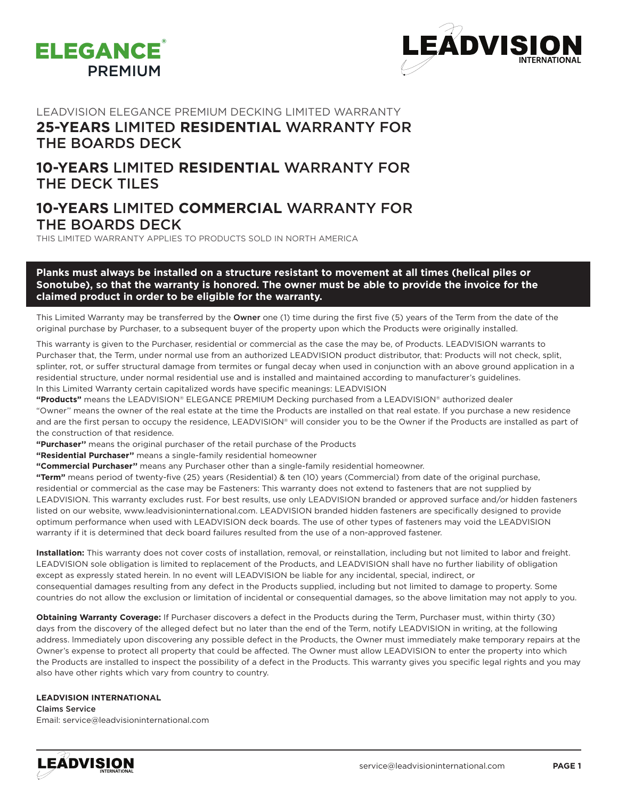



### LEADVISION ELEGANCE PREMIUM DECKING LIMITED WARRANTY **25-YEARS** LIMITED **RESIDENTIAL** WARRANTY FOR

# THE BOARDS DECK

## **10-YEARS** LIMITED **RESIDENTIAL** WARRANTY FOR THE DECK TILES

### **10-YEARS** LIMITED **COMMERCIAL** WARRANTY FOR THE BOARDS DECK

THIS LIMITED WARRANTY APPLIES TO PRODUCTS SOLD IN NORTH AMERICA

### **Planks must always be installed on a structure resistant to movement at all times (helical piles or Sonotube), so that the warranty is honored. The owner must be able to provide the invoice for the claimed product in order to be eligible for the warranty.**

This Limited Warranty may be transferred by the Owner one (1) time during the first five (5) years of the Term from the date of the original purchase by Purchaser, to a subsequent buyer of the property upon which the Products were originally installed.

This warranty is given to the Purchaser, residential or commercial as the case the may be, of Products. LEADVISION warrants to Purchaser that, the Term, under normal use from an authorized LEADVISION product distributor, that: Products will not check, split, splinter, rot, or suffer structural damage from termites or fungal decay when used in conjunction with an above ground application in a residential structure, under normal residential use and is installed and maintained according to manufacturer's guidelines. ln this Limited Warranty certain capitalized words have specific meanings: LEADVISION

**"Products"** means the LEADVISION® ELEGANCE PREMIUM Decking purchased from a LEADVISION® authorized dealer "Owner'' means the owner of the real estate at the time the Products are installed on that real estate. If you purchase a new residence and are the first persan to occupy the residence, LEADVISION® will consider you to be the Owner if the Products are installed as part of the construction of that residence.

**"Purchaser''** means the original purchaser of the retail purchase of the Products

**"Residential Purchaser''** means a single-family residential homeowner

**"Commercial Purchaser''** means any Purchaser other than a single-family residential homeowner.

**"Term"** means period of twenty-five (25) years (Residential) & ten (10) years (Commercial) from date of the original purchase, residential or commercial as the case may be Fasteners: This warranty does not extend to fasteners that are not supplied by LEADVISION. This warranty excludes rust. For best results, use only LEADVISION branded or approved surface and/or hidden fasteners listed on our website, www.leadvisioninternational.com. LEADVISION branded hidden fasteners are specifically designed to provide optimum performance when used with LEADVISION deck boards. The use of other types of fasteners may void the LEADVISION warranty if it is determined that deck board failures resulted from the use of a non-approved fastener.

**Installation:** This warranty does not cover costs of installation, removal, or reinstallation, including but not limited to labor and freight. LEADVISION sole obligation is limited to replacement of the Products, and LEADVISION shall have no further liability of obligation except as expressly stated herein. ln no event will LEADVISION be liable for any incidental, special, indirect, or consequential damages resulting from any defect in the Products supplied, including but not limited to damage to property. Some countries do not allow the exclusion or limitation of incidental or consequential damages, so the above limitation may not apply to you.

**Obtaining Warranty Coverage:** If Purchaser discovers a defect in the Products during the Term, Purchaser must, within thirty (30) days from the discovery of the alleged defect but no later than the end of the Term, notify LEADVISION in writing, at the following address. Immediately upon discovering any possible defect in the Products, the Owner must immediately make temporary repairs at the Owner's expense to protect all property that could be affected. The Owner must allow LEADVISION to enter the property into which the Products are installed to inspect the possibility of a defect in the Products. This warranty gives you specific legal rights and you may also have other rights which vary from country to country.

#### **LEADVISION INTERNATIONAL**

Claims Service Email: service@leadvisioninternational.com

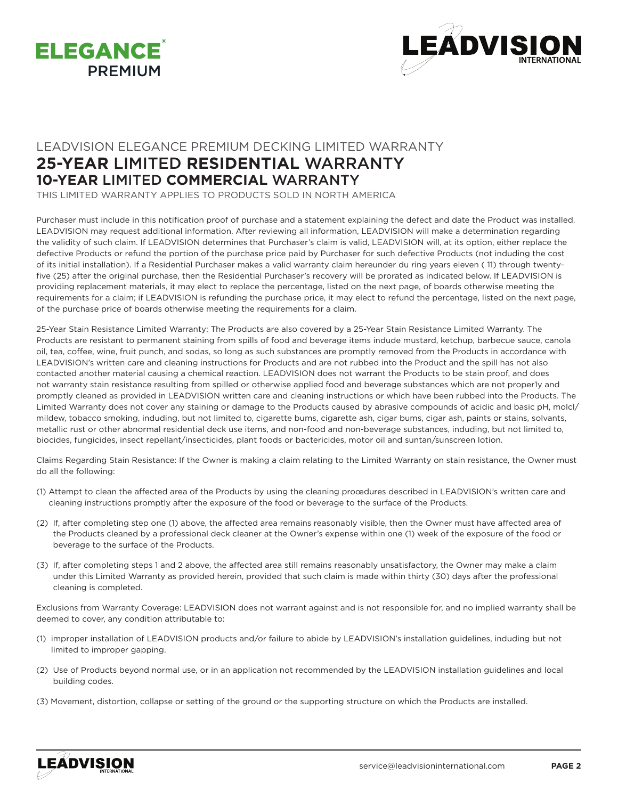



## LEADVISION ELEGANCE PREMIUM DECKING LIMITED WARRANTY **25-YEAR** LIMITED **RESIDENTIAL** WARRANTY **10-YEAR** LIMITED **COMMERCIAL** WARRANTY

THIS LIMITED WARRANTY APPLIES TO PRODUCTS SOLD IN NORTH AMERICA

Purchaser must include in this notification proof of purchase and a statement explaining the defect and date the Product was installed. LEADVISION may request additional information. After reviewing all information, LEADVISION will make a determination regarding the validity of such claim. If LEADVISION determines that Purchaser's claim is valid, LEADVISION will, at its option, either replace the defective Products or refund the portion of the purchase price paid by Purchaser for such defective Products (not induding the cost of its initial installation). If a Residential Purchaser makes a valid warranty claim hereunder du ring years eleven ( 11) through twentyfive (25) after the original purchase, then the Residential Purchaser's recovery will be prorated as indicated below. If LEADVISION is providing replacement materials, it may elect to replace the percentage, listed on the next page, of boards otherwise meeting the requirements for a claim; if LEADVISION is refunding the purchase price, it may elect to refund the percentage, listed on the next page, of the purchase price of boards otherwise meeting the requirements for a claim.

25-Year Stain Resistance Limited Warranty: The Products are also covered by a 25-Year Stain Resistance Limited Warranty. The Products are resistant to permanent staining from spills of food and beverage items indude mustard, ketchup, barbecue sauce, canola oil, tea, coffee, wine, fruit punch, and sodas, so long as such substances are promptly removed from the Products in accordance with LEADVISION's written care and cleaning instructions for Products and are not rubbed into the Product and the spill has not also contacted another material causing a chemical reaction. LEADVISION does not warrant the Products to be stain proof, and does not warranty stain resistance resulting from spilled or otherwise applied food and beverage substances which are not proper1y and promptly cleaned as provided in LEADVISION written care and cleaning instructions or which have been rubbed into the Products. The Limited Warranty does not cover any staining or damage to the Products caused by abrasive compounds of acidic and basic pH, molcl/ mildew, tobacco smoking, induding, but not limited to, cigarette bums, cigarette ash, cigar bums, cigar ash, paints or stains, solvants, metallic rust or other abnormal residential deck use items, and non-food and non-beverage substances, induding, but not limited to, biocides, fungicides, insect repellant/insecticides, plant foods or bactericides, motor oil and suntan/sunscreen lotion.

Claims Regarding Stain Resistance: If the Owner is making a claim relating to the Limited Warranty on stain resistance, the Owner must do all the following:

- (1) Attempt to clean the affected area of the Products by using the cleaning proœdures described in LEADVISION's written care and cleaning instructions promptly after the exposure of the food or beverage to the surface of the Products.
- (2) If, after completing step one (1) above, the affected area remains reasonably visible, then the Owner must have affected area of the Products cleaned by a professional deck cleaner at the Owner's expense within one (1) week of the exposure of the food or beverage to the surface of the Products.
- (3) If, after completing steps 1 and 2 above, the affected area still remains reasonably unsatisfactory, the Owner may make a claim under this Limited Warranty as provided herein, provided that such claim is made within thirty (30) days after the professional cleaning is completed.

Exclusions from Warranty Coverage: LEADVISION does not warrant against and is not responsible for, and no implied warranty shall be deemed to cover, any condition attributable to:

- (1) improper installation of LEADVISION products and/or failure to abide by LEADVISION's installation guidelines, induding but not limited to improper gapping.
- (2) Use of Products beyond normal use, or in an application not recommended by the LEADVISION installation guidelines and local building codes.
- (3) Movement, distortion, collapse or setting of the ground or the supporting structure on which the Products are installed.

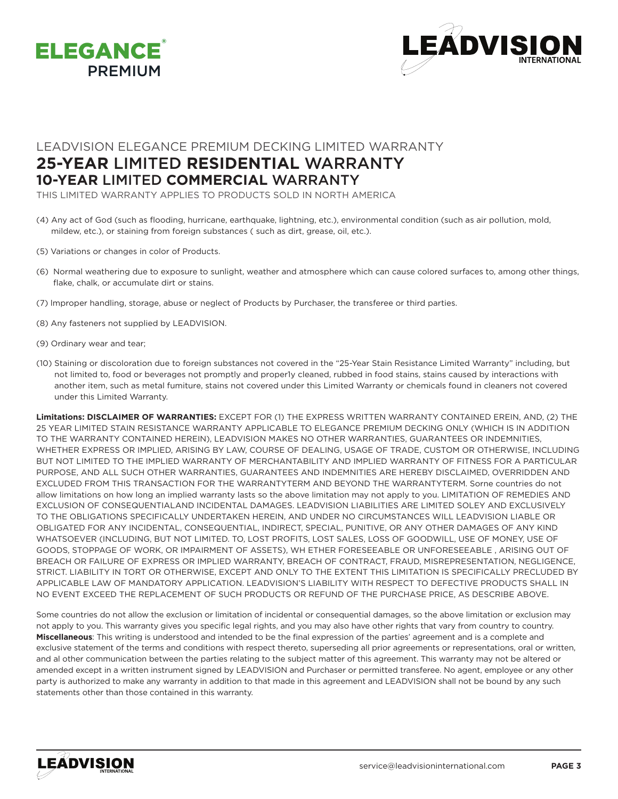



### LEADVISION ELEGANCE PREMIUM DECKING LIMITED WARRANTY **25-YEAR** LIMITED **RESIDENTIAL** WARRANTY **10-YEAR** LIMITED **COMMERCIAL** WARRANTY

THIS LIMITED WARRANTY APPLIES TO PRODUCTS SOLD IN NORTH AMERICA

- (4) Any act of God (such as flooding, hurricane, earthquake, lightning, etc.), environmental condition (such as air pollution, mold, mildew, etc.), or staining from foreign substances ( such as dirt, grease, oil, etc.).
- (5) Variations or changes in color of Products.
- (6) Normal weathering due to exposure to sunlight, weather and atmosphere which can cause colored surfaces to, among other things, flake, chalk, or accumulate dirt or stains.
- (7) lmproper handling, storage, abuse or neglect of Products by Purchaser, the transferee or third parties.
- (8) Any fasteners not supplied by LEADVISION.
- (9) Ordinary wear and tear;
- (10) Staining or discoloration due to foreign substances not covered in the "25-Year Stain Resistance Limited Warranty" including, but not limited to, food or beverages not promptly and proper1y cleaned, rubbed in food stains, stains caused by interactions with another item, such as metal fumiture, stains not covered under this Limited Warranty or chemicals found in cleaners not covered under this Limited Warranty.

**Limitations: DISCLAIMER OF WARRANTIES:** EXCEPT FOR (1) THE EXPRESS WRITTEN WARRANTY CONTAINED EREIN, AND, (2) THE 25 YEAR LIMITED STAIN RESISTANCE WARRANTY APPLICABLE TO ELEGANCE PREMIUM DECKING ONLY (WHICH IS IN ADDITION TO THE WARRANTY CONTAINED HEREIN), LEADVISION MAKES NO OTHER WARRANTIES, GUARANTEES OR INDEMNITIES, WHETHER EXPRESS OR IMPLIED, ARISING BY LAW, COURSE OF DEALING, USAGE OF TRADE, CUSTOM OR OTHERWISE, INCLUDING BUT NOT LIMITED TO THE IMPLIED WARRANTY OF MERCHANTABILITY AND IMPLIED WARRANTY OF FITNESS FOR A PARTICULAR PURPOSE, AND ALL SUCH OTHER WARRANTIES, GUARANTEES AND INDEMNITIES ARE HEREBY DISCLAIMED, OVERRIDDEN AND EXCLUDED FROM THIS TRANSACTION FOR THE WARRANTYTERM AND BEYOND THE WARRANTYTERM. Sorne countries do not allow limitations on how long an implied warranty lasts so the above limitation may not apply to you. LIMITATION OF REMEDIES AND EXCLUSION OF CONSEQUENTIALAND INCIDENTAL DAMAGES. LEADVISION LIABILITIES ARE LIMITED SOLEY AND EXCLUSIVELY TO THE OBLIGATIONS SPECIFICALLY UNDERTAKEN HEREIN, AND UNDER NO CIRCUMSTANCES WILL LEADVISION LIABLE OR OBLIGATED FOR ANY INCIDENTAL, CONSEQUENTIAL, INDIRECT, SPECIAL, PUNITIVE, OR ANY OTHER DAMAGES OF ANY KIND WHATSOEVER (INCLUDING, BUT NOT LIMITED. TO, LOST PROFITS, LOST SALES, LOSS OF GOODWILL, USE OF MONEY, USE OF GOODS, STOPPAGE OF WORK, OR IMPAIRMENT OF ASSETS), WH ETHER FORESEEABLE OR UNFORESEEABLE , ARISING OUT OF BREACH OR FAILURE OF EXPRESS OR IMPLIED WARRANTY, BREACH OF CONTRACT, FRAUD, MISREPRESENTATION, NEGLIGENCE, STRICT. LIABILITY IN TORT OR OTHERWISE, EXCEPT AND ONLY TO THE EXTENT THIS LIMITATION IS SPECIFICALLY PRECLUDED BY APPLICABLE LAW OF MANDATORY APPLICATION. LEADVISION'S LIABILITY WITH RESPECT TO DEFECTIVE PRODUCTS SHALL IN NO EVENT EXCEED THE REPLACEMENT OF SUCH PRODUCTS OR REFUND OF THE PURCHASE PRICE, AS DESCRIBE ABOVE.

Some countries do not allow the exclusion or limitation of incidental or consequential damages, so the above limitation or exclusion may not apply to you. This warranty gives you specific legal rights, and you may also have other rights that vary from country to country. **Miscellaneous**: This writing is understood and intended to be the final expression of the parties' agreement and is a complete and exclusive statement of the terms and conditions with respect thereto, superseding all prior agreements or representations, oral or written, and al other communication between the parties relating to the subject matter of this agreement. This warranty may not be altered or amended except in a written instrument signed by LEADVISION and Purchaser or permitted transferee. No agent, employee or any other party is authorized to make any warranty in addition to that made in this agreement and LEADVISION shall not be bound by any such statements other than those contained in this warranty.